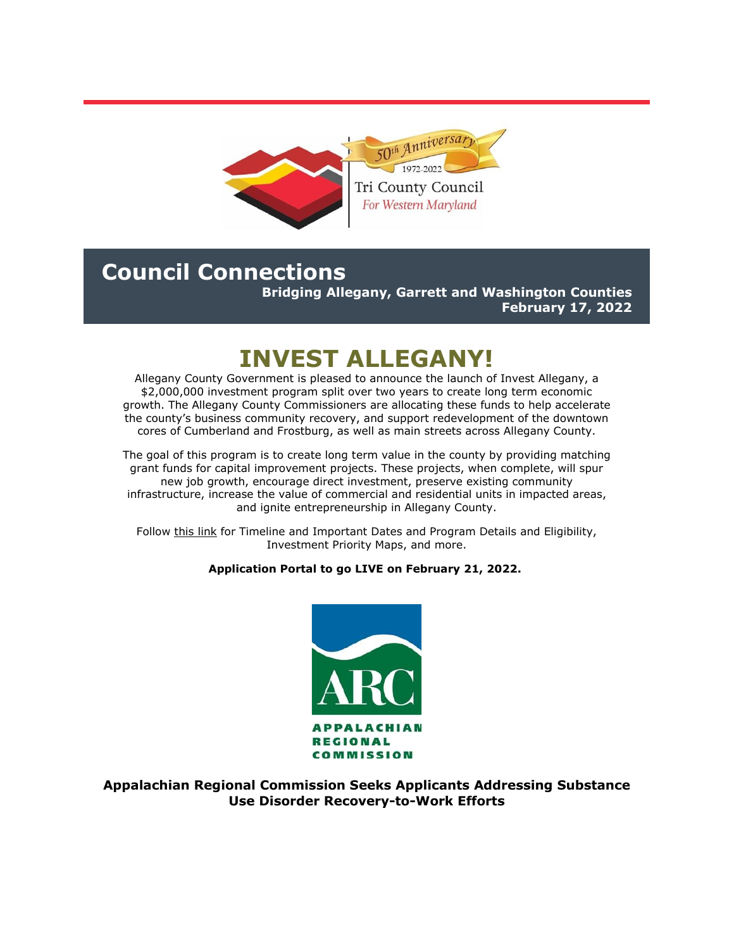

# **Council Connections**

**Bridging Allegany, Garrett and Washington Counties February 17, 2022**

# **INVEST ALLEGANY!**

Allegany County Government is pleased to announce the launch of Invest Allegany, a \$2,000,000 investment program split over two years to create long term economic growth. The Allegany County Commissioners are allocating these funds to help accelerate the county's business community recovery, and support redevelopment of the downtown cores of Cumberland and Frostburg, as well as main streets across Allegany County.

The goal of this program is to create long term value in the county by providing matching grant funds for capital improvement projects. These projects, when complete, will spur new job growth, encourage direct investment, preserve existing community infrastructure, increase the value of commercial and residential units in impacted areas, and ignite entrepreneurship in Allegany County.

Follow [this link](https://r20.rs6.net/tn.jsp?f=001Nfxq39bX1QOhN54nfWd8fXQcbXjGFyDpDlYJlMoWIA_noJQavlMWWaNFnaVO7JmkNMMMzkf0_g8snlDV-Y4DHlci_Lk4T2nu90ROb5VUWkvgxbAYrWIvh1juqIIWhvzt5rjp_DBDtz9ez9hlkLHWTU8fs2P0ze4ogktUf3xlJQ8WwcQXrznwRw==&c=_wQOT0ksM58Df-0kbmzQyJIDyCxyBZnNLf-kAUDLbyfzmzjt2_cekQ==&ch=t_rYEba1wY-zSj0ZNyIXWmATwCSLi2STU_xuayqhMEuI6XhNFgrx5w==) for Timeline and Important Dates and Program Details and Eligibility, Investment Priority Maps, and more.

## **Application Portal to go LIVE on February 21, 2022.**



**Appalachian Regional Commission Seeks Applicants Addressing Substance Use Disorder Recovery-to-Work Efforts**